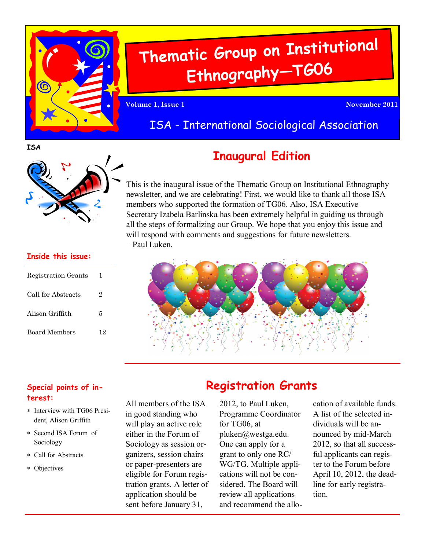

# **Thematic Group on Institutiona<sup>l</sup> Ethnography—TG06**

**Volume 1, Issue 1 November 2011**

### ISA - International Sociological Association

**ISA**



#### **Inside this issue:**

| Registration Grants | 1  |
|---------------------|----|
| Call for Abstracts  | 2  |
| Alison Griffith     | 5  |
| Board Members       | 12 |

# **Inaugural Edition**

This is the inaugural issue of the Thematic Group on Institutional Ethnography newsletter, and we are celebrating! First, we would like to thank all those ISA members who supported the formation of TG06. Also, ISA Executive Secretary Izabela Barlinska has been extremely helpful in guiding us through all the steps of formalizing our Group. We hope that you enjoy this issue and will respond with comments and suggestions for future newsletters. – Paul Luken.



#### **Special points of interest:**

- \* Interview with TG06 President, Alison Griffith
- Second ISA Forum of Sociology
- Call for Abstracts
- Objectives

All members of the ISA in good standing who will play an active role either in the Forum of Sociology as session organizers, session chairs or paper-presenters are eligible for Forum registration grants. A letter of application should be sent before January 31,

### **Registration Grants**

2012, to Paul Luken, Programme Coordinator for TG06, at pluken@westga.edu. One can apply for a grant to only one RC/ WG/TG. Multiple applications will not be considered. The Board will review all applications and recommend the allocation of available funds. A list of the selected individuals will be announced by mid-March 2012, so that all successful applicants can register to the Forum before April 10, 2012, the deadline for early registration.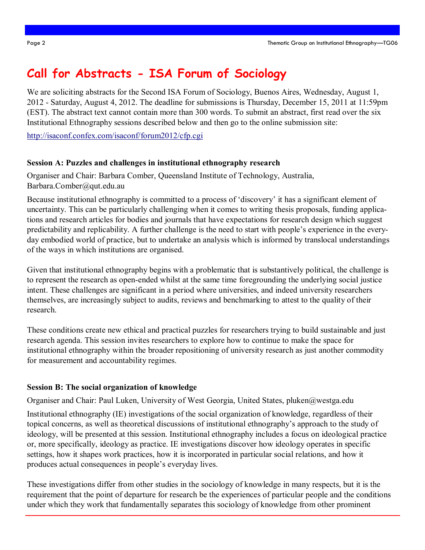### **Call for Abstracts - ISA Forum of Sociology**

We are soliciting abstracts for the Second ISA Forum of Sociology, Buenos Aires, Wednesday, August 1, 2012 - Saturday, August 4, 2012. The deadline for submissions is Thursday, December 15, 2011 at 11:59pm (EST). The abstract text cannot contain more than 300 words. To submit an abstract, first read over the six Institutional Ethnography sessions described below and then go to the online submission site:

<http://isaconf.confex.com/isaconf/forum2012/cfp.cgi>

#### **Session A: Puzzles and challenges in institutional ethnography research**

Organiser and Chair: Barbara Comber, Queensland Institute of Technology, Australia, Barbara.Comber@qut.edu.au

Because institutional ethnography is committed to a process of 'discovery' it has a significant element of uncertainty. This can be particularly challenging when it comes to writing thesis proposals, funding applications and research articles for bodies and journals that have expectations for research design which suggest predictability and replicability. A further challenge is the need to start with people"s experience in the everyday embodied world of practice, but to undertake an analysis which is informed by translocal understandings of the ways in which institutions are organised.

Given that institutional ethnography begins with a problematic that is substantively political, the challenge is to represent the research as open-ended whilst at the same time foregrounding the underlying social justice intent. These challenges are significant in a period where universities, and indeed university researchers themselves, are increasingly subject to audits, reviews and benchmarking to attest to the quality of their research.

These conditions create new ethical and practical puzzles for researchers trying to build sustainable and just research agenda. This session invites researchers to explore how to continue to make the space for institutional ethnography within the broader repositioning of university research as just another commodity for measurement and accountability regimes.

#### **Session B: The social organization of knowledge**

Organiser and Chair: Paul Luken, University of West Georgia, United States, pluken@westga.edu

Institutional ethnography (IE) investigations of the social organization of knowledge, regardless of their topical concerns, as well as theoretical discussions of institutional ethnography"s approach to the study of ideology, will be presented at this session. Institutional ethnography includes a focus on ideological practice or, more specifically, ideology as practice. IE investigations discover how ideology operates in specific settings, how it shapes work practices, how it is incorporated in particular social relations, and how it produces actual consequences in people"s everyday lives.

These investigations differ from other studies in the sociology of knowledge in many respects, but it is the requirement that the point of departure for research be the experiences of particular people and the conditions under which they work that fundamentally separates this sociology of knowledge from other prominent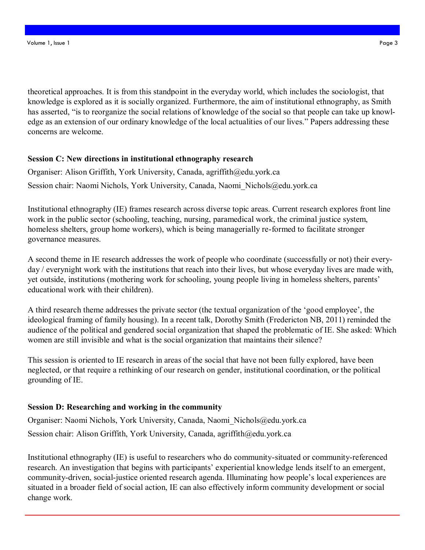theoretical approaches. It is from this standpoint in the everyday world, which includes the sociologist, that knowledge is explored as it is socially organized. Furthermore, the aim of institutional ethnography, as Smith has asserted, "is to reorganize the social relations of knowledge of the social so that people can take up knowledge as an extension of our ordinary knowledge of the local actualities of our lives." Papers addressing these concerns are welcome.

#### **Session C: New directions in institutional ethnography research**

Organiser: Alison Griffith, York University, Canada, agriffith@edu.york.ca Session chair: Naomi Nichols, York University, Canada, Naomi\_Nichols@edu.york.ca

Institutional ethnography (IE) frames research across diverse topic areas. Current research explores front line work in the public sector (schooling, teaching, nursing, paramedical work, the criminal justice system, homeless shelters, group home workers), which is being managerially re-formed to facilitate stronger governance measures.

A second theme in IE research addresses the work of people who coordinate (successfully or not) their everyday / everynight work with the institutions that reach into their lives, but whose everyday lives are made with, yet outside, institutions (mothering work for schooling, young people living in homeless shelters, parents" educational work with their children).

A third research theme addresses the private sector (the textual organization of the "good employee", the ideological framing of family housing). In a recent talk, Dorothy Smith (Fredericton NB, 2011) reminded the audience of the political and gendered social organization that shaped the problematic of IE. She asked: Which women are still invisible and what is the social organization that maintains their silence?

This session is oriented to IE research in areas of the social that have not been fully explored, have been neglected, or that require a rethinking of our research on gender, institutional coordination, or the political grounding of IE.

#### **Session D: Researching and working in the community**

Organiser: Naomi Nichols, York University, Canada, Naomi\_Nichols@edu.york.ca Session chair: Alison Griffith, York University, Canada, agriffith@edu.york.ca

Institutional ethnography (IE) is useful to researchers who do community-situated or community-referenced research. An investigation that begins with participants' experiential knowledge lends itself to an emergent, community-driven, social-justice oriented research agenda. Illuminating how people"s local experiences are situated in a broader field of social action, IE can also effectively inform community development or social change work.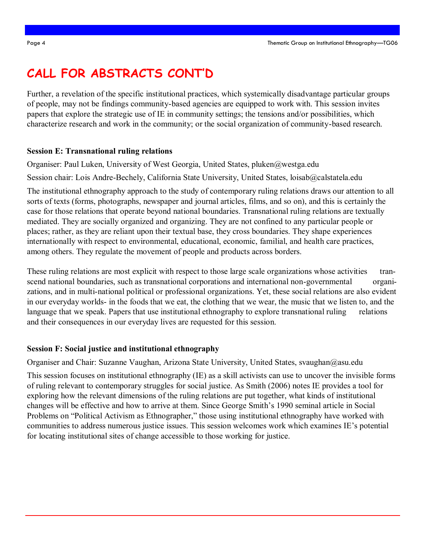# **CALL FOR ABSTRACTS CONT'D**

Further, a revelation of the specific institutional practices, which systemically disadvantage particular groups of people, may not be findings community-based agencies are equipped to work with. This session invites papers that explore the strategic use of IE in community settings; the tensions and/or possibilities, which characterize research and work in the community; or the social organization of community-based research.

#### **Session E: Transnational ruling relations**

Organiser: Paul Luken, University of West Georgia, United States, pluken@westga.edu

Session chair: Lois Andre-Bechely, California State University, United States, loisab@calstatela.edu

The institutional ethnography approach to the study of contemporary ruling relations draws our attention to all sorts of texts (forms, photographs, newspaper and journal articles, films, and so on), and this is certainly the case for those relations that operate beyond national boundaries. Transnational ruling relations are textually mediated. They are socially organized and organizing. They are not confined to any particular people or places; rather, as they are reliant upon their textual base, they cross boundaries. They shape experiences internationally with respect to environmental, educational, economic, familial, and health care practices, among others. They regulate the movement of people and products across borders.

These ruling relations are most explicit with respect to those large scale organizations whose activities transcend national boundaries, such as transnational corporations and international non-governmental organizations, and in multi-national political or professional organizations. Yet, these social relations are also evident in our everyday worlds- in the foods that we eat, the clothing that we wear, the music that we listen to, and the language that we speak. Papers that use institutional ethnography to explore transnational ruling relations and their consequences in our everyday lives are requested for this session.

#### **Session F: Social justice and institutional ethnography**

Organiser and Chair: Suzanne Vaughan, Arizona State University, United States, svaughan@asu.edu

This session focuses on institutional ethnography (IE) as a skill activists can use to uncover the invisible forms of ruling relevant to contemporary struggles for social justice. As Smith (2006) notes IE provides a tool for exploring how the relevant dimensions of the ruling relations are put together, what kinds of institutional changes will be effective and how to arrive at them. Since George Smith"s 1990 seminal article in Social Problems on "Political Activism as Ethnographer," those using institutional ethnography have worked with communities to address numerous justice issues. This session welcomes work which examines IE"s potential for locating institutional sites of change accessible to those working for justice.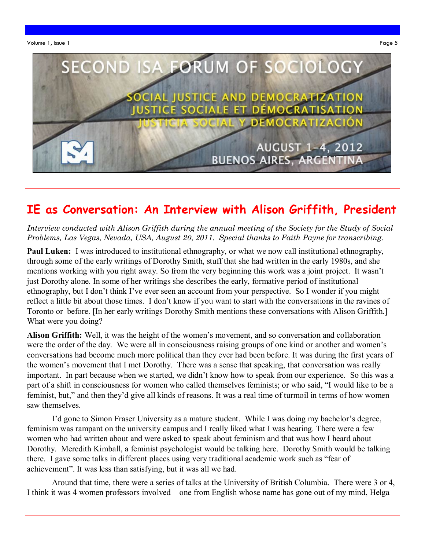

### **IE as Conversation: An Interview with Alison Griffith, President**

*Interview conducted with Alison Griffith during the annual meeting of the Society for the Study of Social Problems, Las Vegas, Nevada, USA, August 20, 2011. Special thanks to Faith Payne for transcribing.*

**Paul Luken:** I was introduced to institutional ethnography, or what we now call institutional ethnography, through some of the early writings of Dorothy Smith, stuff that she had written in the early 1980s, and she mentions working with you right away. So from the very beginning this work was a joint project. It wasn"t just Dorothy alone. In some of her writings she describes the early, formative period of institutional ethnography, but I don"t think I"ve ever seen an account from your perspective. So I wonder if you might reflect a little bit about those times. I don"t know if you want to start with the conversations in the ravines of Toronto or before. [In her early writings Dorothy Smith mentions these conversations with Alison Griffith.] What were you doing?

**Alison Griffith:** Well, it was the height of the women"s movement, and so conversation and collaboration were the order of the day. We were all in consciousness raising groups of one kind or another and women"s conversations had become much more political than they ever had been before. It was during the first years of the women"s movement that I met Dorothy. There was a sense that speaking, that conversation was really important. In part because when we started, we didn"t know how to speak from our experience. So this was a part of a shift in consciousness for women who called themselves feminists; or who said, "I would like to be a feminist, but," and then they"d give all kinds of reasons. It was a real time of turmoil in terms of how women saw themselves.

I'd gone to Simon Fraser University as a mature student. While I was doing my bachelor's degree, feminism was rampant on the university campus and I really liked what I was hearing. There were a few women who had written about and were asked to speak about feminism and that was how I heard about Dorothy. Meredith Kimball, a feminist psychologist would be talking here. Dorothy Smith would be talking there. I gave some talks in different places using very traditional academic work such as "fear of achievement". It was less than satisfying, but it was all we had.

Around that time, there were a series of talks at the University of British Columbia. There were 3 or 4, I think it was 4 women professors involved – one from English whose name has gone out of my mind, Helga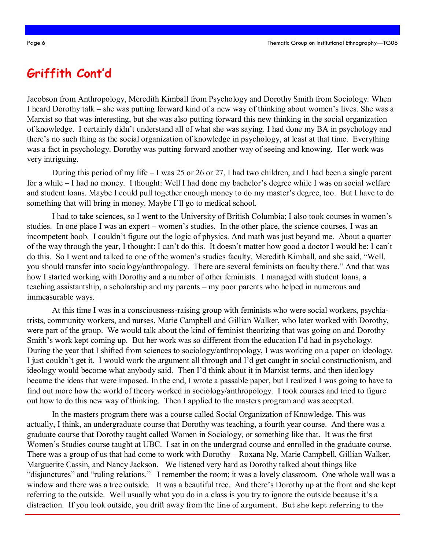### **Griffith Cont'd**

Jacobson from Anthropology, Meredith Kimball from Psychology and Dorothy Smith from Sociology. When I heard Dorothy talk – she was putting forward kind of a new way of thinking about women"s lives. She was a Marxist so that was interesting, but she was also putting forward this new thinking in the social organization of knowledge. I certainly didn"t understand all of what she was saying. I had done my BA in psychology and there"s no such thing as the social organization of knowledge in psychology, at least at that time. Everything was a fact in psychology. Dorothy was putting forward another way of seeing and knowing. Her work was very intriguing.

During this period of my life – I was 25 or 26 or 27, I had two children, and I had been a single parent for a while – I had no money. I thought: Well I had done my bachelor's degree while I was on social welfare and student loans. Maybe I could pull together enough money to do my master's degree, too. But I have to do something that will bring in money. Maybe I"ll go to medical school.

I had to take sciences, so I went to the University of British Columbia; I also took courses in women"s studies. In one place I was an expert – women's studies. In the other place, the science courses, I was an incompetent boob. I couldn"t figure out the logic of physics. And math was just beyond me. About a quarter of the way through the year, I thought: I can"t do this. It doesn"t matter how good a doctor I would be: I can"t do this. So I went and talked to one of the women"s studies faculty, Meredith Kimball, and she said, "Well, you should transfer into sociology/anthropology. There are several feminists on faculty there." And that was how I started working with Dorothy and a number of other feminists. I managed with student loans, a teaching assistantship, a scholarship and my parents – my poor parents who helped in numerous and immeasurable ways.

At this time I was in a consciousness-raising group with feminists who were social workers, psychiatrists, community workers, and nurses. Marie Campbell and Gillian Walker, who later worked with Dorothy, were part of the group. We would talk about the kind of feminist theorizing that was going on and Dorothy Smith's work kept coming up. But her work was so different from the education I'd had in psychology. During the year that I shifted from sciences to sociology/anthropology, I was working on a paper on ideology. I just couldn"t get it. I would work the argument all through and I"d get caught in social constructionism, and ideology would become what anybody said. Then I"d think about it in Marxist terms, and then ideology became the ideas that were imposed. In the end, I wrote a passable paper, but I realized I was going to have to find out more how the world of theory worked in sociology/anthropology. I took courses and tried to figure out how to do this new way of thinking. Then I applied to the masters program and was accepted.

In the masters program there was a course called Social Organization of Knowledge. This was actually, I think, an undergraduate course that Dorothy was teaching, a fourth year course. And there was a graduate course that Dorothy taught called Women in Sociology, or something like that. It was the first Women's Studies course taught at UBC. I sat in on the undergrad course and enrolled in the graduate course. There was a group of us that had come to work with Dorothy – Roxana Ng, Marie Campbell, Gillian Walker, Marguerite Cassin, and Nancy Jackson. We listened very hard as Dorothy talked about things like "disjunctures" and "ruling relations." I remember the room; it was a lovely classroom. One whole wall was a window and there was a tree outside. It was a beautiful tree. And there"s Dorothy up at the front and she kept referring to the outside. Well usually what you do in a class is you try to ignore the outside because it's a distraction. If you look outside, you drift away from the line of argument. But she kept referring to the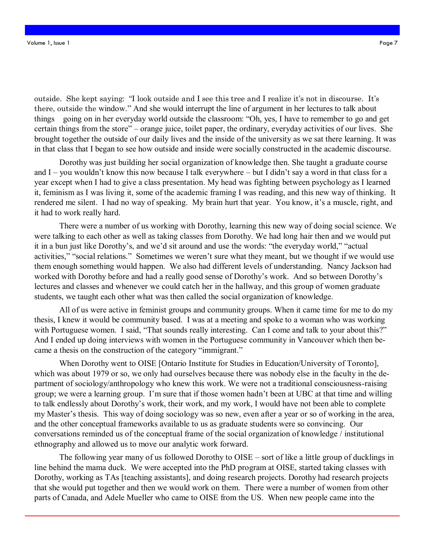outside. She kept saying: "I look outside and I see this tree and I realize it's not in discourse. It's there, outside the window." And she would interrupt the line of argument in her lectures to talk about things going on in her everyday world outside the classroom: "Oh, yes, I have to remember to go and get certain things from the store" – orange juice, toilet paper, the ordinary, everyday activities of our lives. She brought together the outside of our daily lives and the inside of the university as we sat there learning. It was in that class that I began to see how outside and inside were socially constructed in the academic discourse.

Dorothy was just building her social organization of knowledge then. She taught a graduate course and I – you wouldn"t know this now because I talk everywhere – but I didn"t say a word in that class for a year except when I had to give a class presentation. My head was fighting between psychology as I learned it, feminism as I was living it, some of the academic framing I was reading, and this new way of thinking. It rendered me silent. I had no way of speaking. My brain hurt that year. You know, it's a muscle, right, and it had to work really hard.

There were a number of us working with Dorothy, learning this new way of doing social science. We were talking to each other as well as taking classes from Dorothy. We had long hair then and we would put it in a bun just like Dorothy"s, and we"d sit around and use the words: "the everyday world," "actual activities," "social relations." Sometimes we weren"t sure what they meant, but we thought if we would use them enough something would happen. We also had different levels of understanding. Nancy Jackson had worked with Dorothy before and had a really good sense of Dorothy"s work. And so between Dorothy"s lectures and classes and whenever we could catch her in the hallway, and this group of women graduate students, we taught each other what was then called the social organization of knowledge.

All of us were active in feminist groups and community groups. When it came time for me to do my thesis, I knew it would be community based. I was at a meeting and spoke to a woman who was working with Portuguese women. I said, "That sounds really interesting. Can I come and talk to your about this?" And I ended up doing interviews with women in the Portuguese community in Vancouver which then became a thesis on the construction of the category "immigrant."

When Dorothy went to OISE [Ontario Institute for Studies in Education/University of Toronto], which was about 1979 or so, we only had ourselves because there was nobody else in the faculty in the department of sociology/anthropology who knew this work. We were not a traditional consciousness-raising group; we were a learning group. I"m sure that if those women hadn"t been at UBC at that time and willing to talk endlessly about Dorothy"s work, their work, and my work, I would have not been able to complete my Master"s thesis. This way of doing sociology was so new, even after a year or so of working in the area, and the other conceptual frameworks available to us as graduate students were so convincing. Our conversations reminded us of the conceptual frame of the social organization of knowledge / institutional ethnography and allowed us to move our analytic work forward.

The following year many of us followed Dorothy to OISE – sort of like a little group of ducklings in line behind the mama duck. We were accepted into the PhD program at OISE, started taking classes with Dorothy, working as TAs [teaching assistants], and doing research projects. Dorothy had research projects that she would put together and then we would work on them. There were a number of women from other parts of Canada, and Adele Mueller who came to OISE from the US. When new people came into the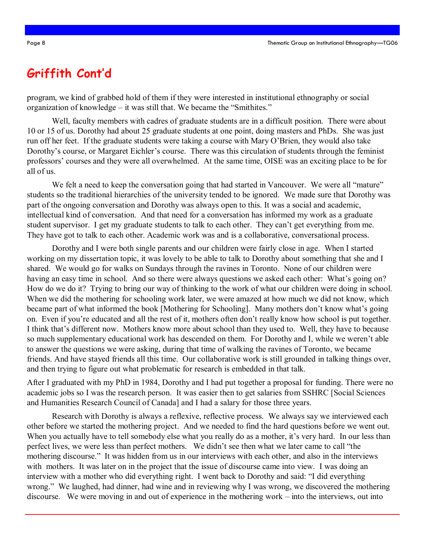### **Griffith Cont'd**

program, we kind of grabbed hold of them if they were interested in institutional ethnography or social organization of knowledge – it was still that. We became the "Smithites."

Well, faculty members with cadres of graduate students are in a difficult position. There were about 10 or 15 of us. Dorothy had about 25 graduate students at one point, doing masters and PhDs. She was just run off her feet. If the graduate students were taking a course with Mary O"Brien, they would also take Dorothy's course, or Margaret Eichler's course. There was this circulation of students through the feminist professors" courses and they were all overwhelmed. At the same time, OISE was an exciting place to be for all of us.

We felt a need to keep the conversation going that had started in Vancouver. We were all "mature" students so the traditional hierarchies of the university tended to be ignored. We made sure that Dorothy was part of the ongoing conversation and Dorothy was always open to this. It was a social and academic, intellectual kind of conversation. And that need for a conversation has informed my work as a graduate student supervisor. I get my graduate students to talk to each other. They can't get everything from me. They have got to talk to each other. Academic work was and is a collaborative, conversational process.

Dorothy and I were both single parents and our children were fairly close in age. When I started working on my dissertation topic, it was lovely to be able to talk to Dorothy about something that she and I shared. We would go for walks on Sundays through the ravines in Toronto. None of our children were having an easy time in school. And so there were always questions we asked each other: What's going on? How do we do it? Trying to bring our way of thinking to the work of what our children were doing in school. When we did the mothering for schooling work later, we were amazed at how much we did not know, which became part of what informed the book [Mothering for Schooling]. Many mothers don't know what's going on. Even if you"re educated and all the rest of it, mothers often don"t really know how school is put together. I think that's different now. Mothers know more about school than they used to. Well, they have to because so much supplementary educational work has descended on them. For Dorothy and I, while we weren"t able to answer the questions we were asking, during that time of walking the ravines of Toronto, we became friends. And have stayed friends all this time. Our collaborative work is still grounded in talking things over, and then trying to figure out what problematic for research is embedded in that talk.

After I graduated with my PhD in 1984, Dorothy and I had put together a proposal for funding. There were no academic jobs so I was the research person. It was easier then to get salaries from SSHRC [Social Sciences and Humanities Research Council of Canada] and I had a salary for those three years.

Research with Dorothy is always a reflexive, reflective process. We always say we interviewed each other before we started the mothering project. And we needed to find the hard questions before we went out. When you actually have to tell somebody else what you really do as a mother, it's very hard. In our less than perfect lives, we were less than perfect mothers. We didn"t see then what we later came to call "the mothering discourse." It was hidden from us in our interviews with each other, and also in the interviews with mothers. It was later on in the project that the issue of discourse came into view. I was doing an interview with a mother who did everything right. I went back to Dorothy and said: "I did everything wrong." We laughed, had dinner, had wine and in reviewing why I was wrong, we discovered the mothering discourse. We were moving in and out of experience in the mothering work – into the interviews, out into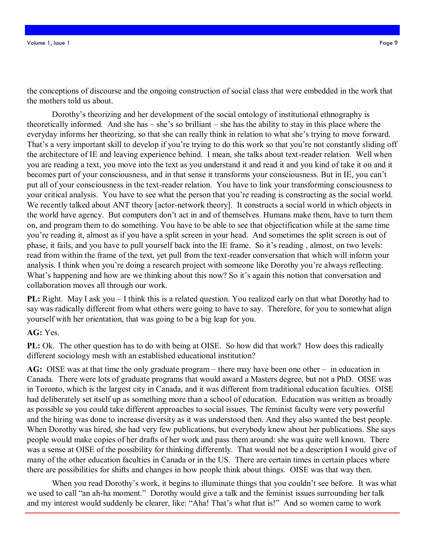the conceptions of discourse and the ongoing construction of social class that were embedded in the work that the mothers told us about.

Dorothy"s theorizing and her development of the social ontology of institutional ethnography is theoretically informed. And she has – she"s so brilliant – she has the ability to stay in this place where the everyday informs her theorizing, so that she can really think in relation to what she"s trying to move forward. That's a very important skill to develop if you're trying to do this work so that you're not constantly sliding off the architecture of IE and leaving experience behind. I mean, she talks about text-reader relation. Well when you are reading a text, you move into the text as you understand it and read it and you kind of take it on and it becomes part of your consciousness, and in that sense it transforms your consciousness. But in IE, you can"t put all of your consciousness in the text-reader relation. You have to link your transforming consciousness to your critical analysis. You have to see what the person that you"re reading is constructing as the social world. We recently talked about ANT theory [actor-network theory]. It constructs a social world in which objects in the world have agency. But computers don"t act in and of themselves. Humans make them, have to turn them on, and program them to do something. You have to be able to see that objectification while at the same time you"re reading it, almost as if you have a split screen in your head. And sometimes the split screen is out of phase, it fails, and you have to pull yourself back into the IE frame. So it"s reading , almost, on two levels: read from within the frame of the text, yet pull from the text-reader conversation that which will inform your analysis. I think when you're doing a research project with someone like Dorothy you're always reflecting. What's happening and how are we thinking about this now? So it's again this notion that conversation and collaboration moves all through our work.

**PL:** Right. May I ask you – I think this is a related question. You realized early on that what Dorothy had to say was radically different from what others were going to have to say. Therefore, for you to somewhat align yourself with her orientation, that was going to be a big leap for you.

**AG:** Yes.

**PL:** Ok. The other question has to do with being at OISE. So how did that work? How does this radically different sociology mesh with an established educational institution?

**AG:** OISE was at that time the only graduate program – there may have been one other – in education in Canada. There were lots of graduate programs that would award a Masters degree, but not a PhD. OISE was in Toronto, which is the largest city in Canada, and it was different from traditional education faculties. OISE had deliberately set itself up as something more than a school of education. Education was written as broadly as possible so you could take different approaches to social issues. The feminist faculty were very powerful and the hiring was done to increase diversity as it was understood then. And they also wanted the best people. When Dorothy was hired, she had very few publications, but everybody knew about her publications. She says people would make copies of her drafts of her work and pass them around: she was quite well known. There was a sense at OISE of the possibility for thinking differently. That would not be a description I would give of many of the other education faculties in Canada or in the US. There are certain times in certain places where there are possibilities for shifts and changes in how people think about things. OISE was that way then.

When you read Dorothy's work, it begins to illuminate things that you couldn't see before. It was what we used to call "an ah-ha moment." Dorothy would give a talk and the feminist issues surrounding her talk and my interest would suddenly be clearer, like: "Aha! That's what that is!" And so women came to work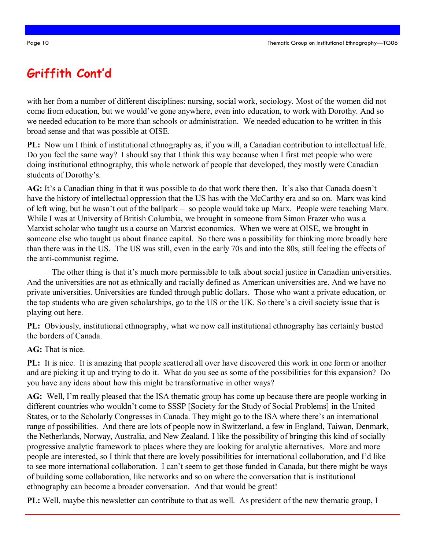# **Griffith Cont'd**

with her from a number of different disciplines: nursing, social work, sociology. Most of the women did not come from education, but we would've gone anywhere, even into education, to work with Dorothy. And so we needed education to be more than schools or administration. We needed education to be written in this broad sense and that was possible at OISE.

**PL:** Now um I think of institutional ethnography as, if you will, a Canadian contribution to intellectual life. Do you feel the same way? I should say that I think this way because when I first met people who were doing institutional ethnography, this whole network of people that developed, they mostly were Canadian students of Dorothy"s.

AG: It's a Canadian thing in that it was possible to do that work there then. It's also that Canada doesn't have the history of intellectual oppression that the US has with the McCarthy era and so on. Marx was kind of left wing, but he wasn"t out of the ballpark – so people would take up Marx. People were teaching Marx. While I was at University of British Columbia, we brought in someone from Simon Frazer who was a Marxist scholar who taught us a course on Marxist economics. When we were at OISE, we brought in someone else who taught us about finance capital. So there was a possibility for thinking more broadly here than there was in the US. The US was still, even in the early 70s and into the 80s, still feeling the effects of the anti-communist regime.

The other thing is that it's much more permissible to talk about social justice in Canadian universities. And the universities are not as ethnically and racially defined as American universities are. And we have no private universities. Universities are funded through public dollars. Those who want a private education, or the top students who are given scholarships, go to the US or the UK. So there"s a civil society issue that is playing out here.

**PL:** Obviously, institutional ethnography, what we now call institutional ethnography has certainly busted the borders of Canada.

**AG:** That is nice.

**PL:** It is nice. It is amazing that people scattered all over have discovered this work in one form or another and are picking it up and trying to do it. What do you see as some of the possibilities for this expansion? Do you have any ideas about how this might be transformative in other ways?

**AG:** Well, I"m really pleased that the ISA thematic group has come up because there are people working in different countries who wouldn"t come to SSSP [Society for the Study of Social Problems] in the United States, or to the Scholarly Congresses in Canada. They might go to the ISA where there"s an international range of possibilities. And there are lots of people now in Switzerland, a few in England, Taiwan, Denmark, the Netherlands, Norway, Australia, and New Zealand. I like the possibility of bringing this kind of socially progressive analytic framework to places where they are looking for analytic alternatives. More and more people are interested, so I think that there are lovely possibilities for international collaboration, and I"d like to see more international collaboration. I can"t seem to get those funded in Canada, but there might be ways of building some collaboration, like networks and so on where the conversation that is institutional ethnography can become a broader conversation. And that would be great!

**PL:** Well, maybe this newsletter can contribute to that as well. As president of the new thematic group, I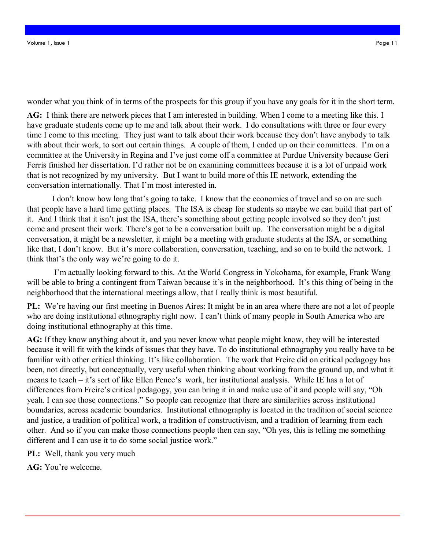wonder what you think of in terms of the prospects for this group if you have any goals for it in the short term.

**AG:** I think there are network pieces that I am interested in building. When I come to a meeting like this. I have graduate students come up to me and talk about their work. I do consultations with three or four every time I come to this meeting. They just want to talk about their work because they don"t have anybody to talk with about their work, to sort out certain things. A couple of them, I ended up on their committees. I'm on a committee at the University in Regina and I"ve just come off a committee at Purdue University because Geri Ferris finished her dissertation. I"d rather not be on examining committees because it is a lot of unpaid work that is not recognized by my university. But I want to build more of this IE network, extending the conversation internationally. That I"m most interested in.

I don't know how long that's going to take. I know that the economics of travel and so on are such that people have a hard time getting places. The ISA is cheap for students so maybe we can build that part of it. And I think that it isn't just the ISA, there's something about getting people involved so they don't just come and present their work. There"s got to be a conversation built up. The conversation might be a digital conversation, it might be a newsletter, it might be a meeting with graduate students at the ISA, or something like that, I don't know. But it's more collaboration, conversation, teaching, and so on to build the network. I think that"s the only way we"re going to do it.

I"m actually looking forward to this. At the World Congress in Yokohama, for example, Frank Wang will be able to bring a contingent from Taiwan because it's in the neighborhood. It's this thing of being in the neighborhood that the international meetings allow, that I really think is most beautiful.

**PL:** We're having our first meeting in Buenos Aires: It might be in an area where there are not a lot of people who are doing institutional ethnography right now. I can't think of many people in South America who are doing institutional ethnography at this time.

**AG:** If they know anything about it, and you never know what people might know, they will be interested because it will fit with the kinds of issues that they have. To do institutional ethnography you really have to be familiar with other critical thinking. It's like collaboration. The work that Freire did on critical pedagogy has been, not directly, but conceptually, very useful when thinking about working from the ground up, and what it means to teach – it's sort of like Ellen Pence's work, her institutional analysis. While IE has a lot of differences from Freire's critical pedagogy, you can bring it in and make use of it and people will say, "Oh yeah. I can see those connections." So people can recognize that there are similarities across institutional boundaries, across academic boundaries. Institutional ethnography is located in the tradition of social science and justice, a tradition of political work, a tradition of constructivism, and a tradition of learning from each other. And so if you can make those connections people then can say, "Oh yes, this is telling me something different and I can use it to do some social justice work."

**PL:** Well, thank you very much

**AG:** You"re welcome.